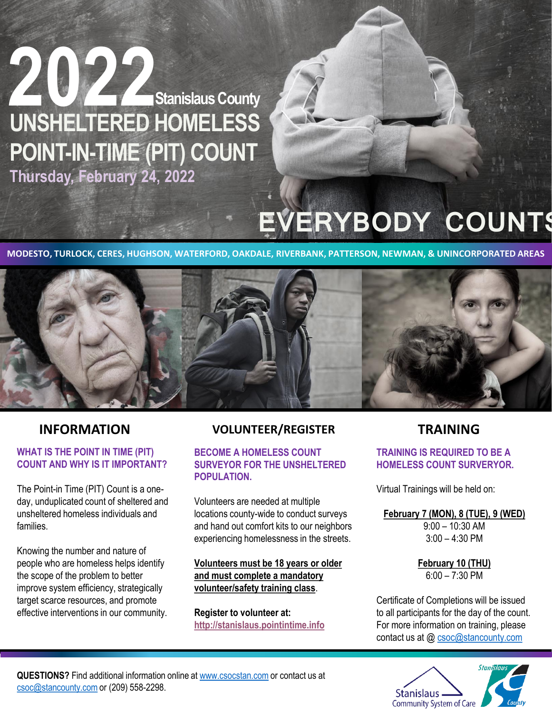

## **EVERYBODY COUNTS**

**MODESTO, TURLOCK, CERES, HUGHSON, WATERFORD, OAKDALE, RIVERBANK, PATTERSON, NEWMAN, & UNINCORPORATED AREAS**



### **WHAT IS THE POINT IN TIME (PIT) COUNT AND WHY IS IT IMPORTANT?**

The Point-in Time (PIT) Count is a oneday, unduplicated count of sheltered and unsheltered homeless individuals and families.

Knowing the number and nature of people who are homeless helps identify the scope of the problem to better improve system efficiency, strategically target scarce resources, and promote effective interventions in our community.

### **INFORMATION VOLUNTEER/REGISTER TRAINING**

### **BECOME A HOMELESS COUNT SURVEYOR FOR THE UNSHELTERED POPULATION.**

Volunteers are needed at multiple locations county-wide to conduct surveys and hand out comfort kits to our neighbors experiencing homelessness in the streets.

**Volunteers must be 18 years or older and must complete a mandatory volunteer/safety training class**.

**Register to volunteer at: [http://stanislaus.pointintime.info](http://stanislaus.pointintime.info/)**

### **TRAINING IS REQUIRED TO BE A HOMELESS COUNT SURVERYOR.**

Virtual Trainings will be held on:

### **February 7 (MON), 8 (TUE), 9 (WED)**

9:00 – 10:30 AM 3:00 – 4:30 PM

**February 10 (THU)**   $6:00 - 7:30$  PM

Certificate of Completions will be issued to all participants for the day of the count. For more information on training, please contact us at @ [csoc@stancounty.com](mailto:CSOC@stancounty.com)



**QUESTIONS?** Find additional information online at [www.csocstan.com](http://www.csocstan.com/) or contact us at [csoc@stancounty.com](mailto:csoc@stancounty.com) or (209) 558-2298.